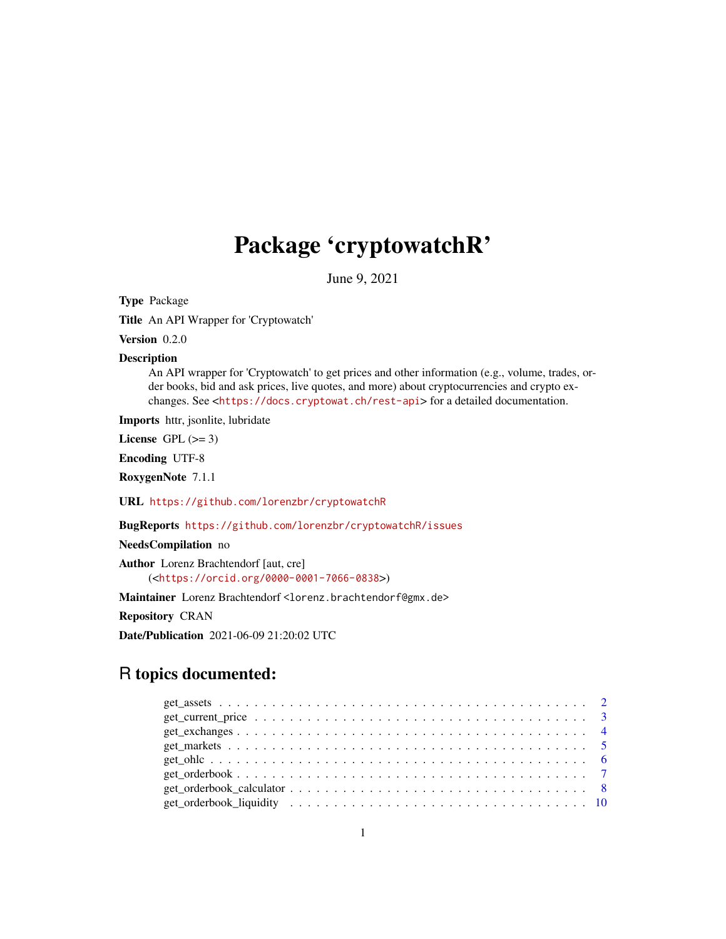# Package 'cryptowatchR'

June 9, 2021

Type Package

Title An API Wrapper for 'Cryptowatch'

Version 0.2.0

Description

An API wrapper for 'Cryptowatch' to get prices and other information (e.g., volume, trades, order books, bid and ask prices, live quotes, and more) about cryptocurrencies and crypto exchanges. See <<https://docs.cryptowat.ch/rest-api>> for a detailed documentation.

Imports httr, jsonlite, lubridate

License GPL  $(>= 3)$ 

Encoding UTF-8

RoxygenNote 7.1.1

URL <https://github.com/lorenzbr/cryptowatchR>

BugReports <https://github.com/lorenzbr/cryptowatchR/issues>

NeedsCompilation no

Author Lorenz Brachtendorf [aut, cre] (<<https://orcid.org/0000-0001-7066-0838>>)

Maintainer Lorenz Brachtendorf <lorenz.brachtendorf@gmx.de>

Repository CRAN

Date/Publication 2021-06-09 21:20:02 UTC

# R topics documented: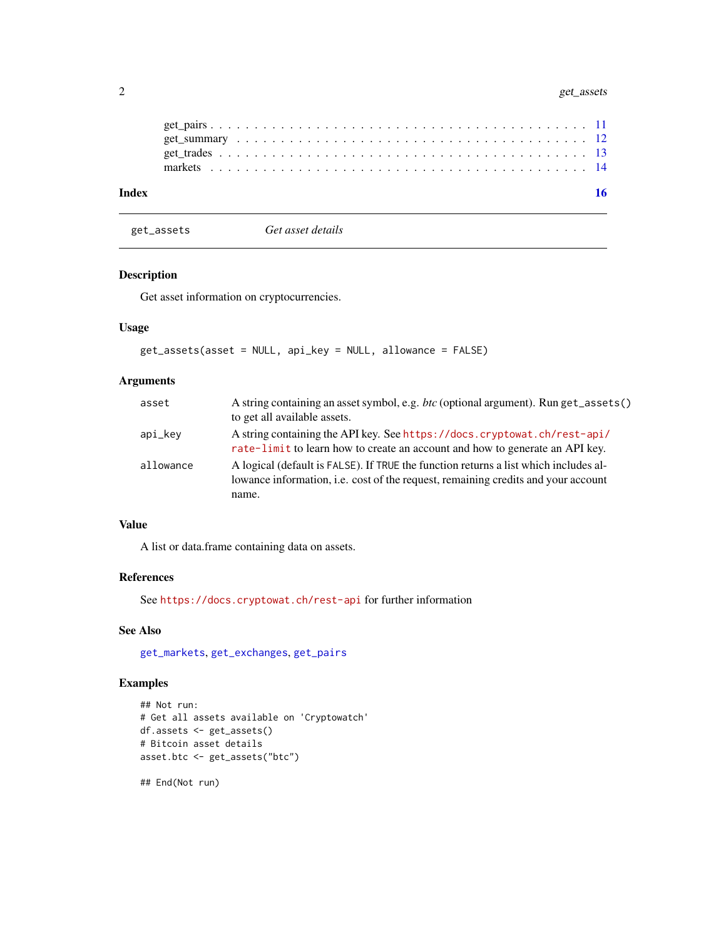<span id="page-1-0"></span>

<span id="page-1-1"></span>get\_assets *Get asset details*

# Description

Get asset information on cryptocurrencies.

# Usage

```
get_assets(asset = NULL, api_key = NULL, allowance = FALSE)
```
# Arguments

| asset     | A string containing an asset symbol, e.g. <i>btc</i> (optional argument). Run get_assets()<br>to get all available assets.                                                         |
|-----------|------------------------------------------------------------------------------------------------------------------------------------------------------------------------------------|
| api_kev   | A string containing the API key. See https://docs.cryptowat.ch/rest-api/<br>rate-limit to learn how to create an account and how to generate an API key.                           |
| allowance | A logical (default is FALSE). If TRUE the function returns a list which includes al-<br>lowance information, i.e. cost of the request, remaining credits and your account<br>name. |

# Value

A list or data.frame containing data on assets.

# References

See <https://docs.cryptowat.ch/rest-api> for further information

# See Also

[get\\_markets](#page-4-1), [get\\_exchanges](#page-3-1), [get\\_pairs](#page-10-1)

# Examples

```
## Not run:
# Get all assets available on 'Cryptowatch'
df.assets <- get_assets()
# Bitcoin asset details
asset.btc <- get_assets("btc")
```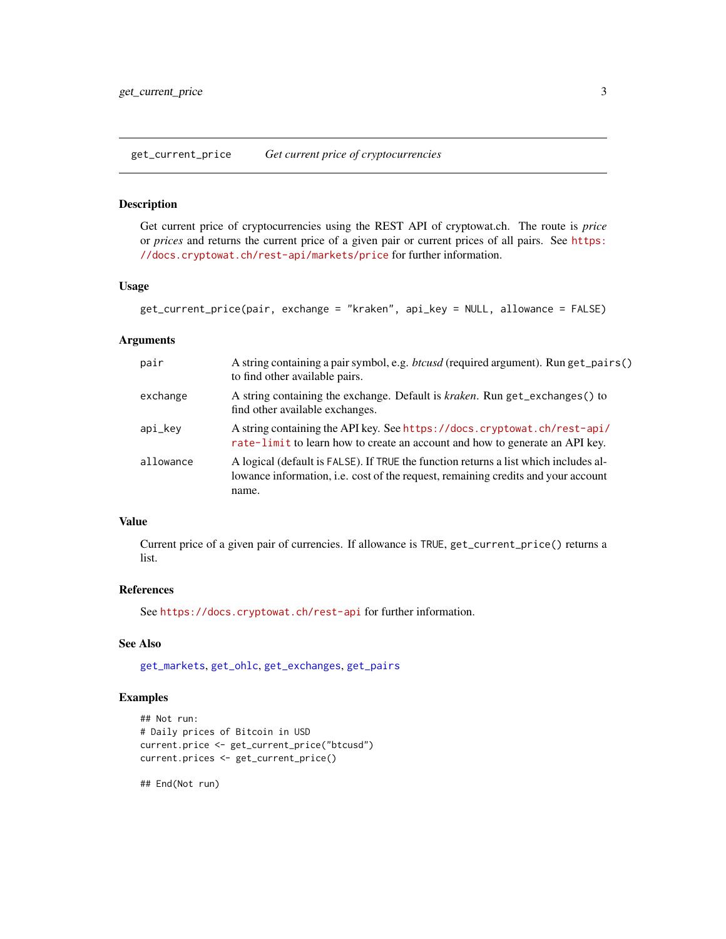<span id="page-2-1"></span><span id="page-2-0"></span>get\_current\_price *Get current price of cryptocurrencies*

#### Description

Get current price of cryptocurrencies using the REST API of cryptowat.ch. The route is *price* or *prices* and returns the current price of a given pair or current prices of all pairs. See [https:](https://docs.cryptowat.ch/rest-api/markets/price) [//docs.cryptowat.ch/rest-api/markets/price](https://docs.cryptowat.ch/rest-api/markets/price) for further information.

# Usage

```
get_current_price(pair, exchange = "kraken", api_key = NULL, allowance = FALSE)
```
#### **Arguments**

| pair      | A string containing a pair symbol, e.g. <i>btcusd</i> (required argument). Run get_pairs()<br>to find other available pairs.                                                              |
|-----------|-------------------------------------------------------------------------------------------------------------------------------------------------------------------------------------------|
| exchange  | A string containing the exchange. Default is kraken. Run get_exchanges() to<br>find other available exchanges.                                                                            |
| api_key   | A string containing the API key. See https://docs.cryptowat.ch/rest-api/<br>rate-limit to learn how to create an account and how to generate an API key.                                  |
| allowance | A logical (default is FALSE). If TRUE the function returns a list which includes al-<br>lowance information, <i>i.e.</i> cost of the request, remaining credits and your account<br>name. |

# Value

Current price of a given pair of currencies. If allowance is TRUE, get\_current\_price() returns a list.

# References

See <https://docs.cryptowat.ch/rest-api> for further information.

# See Also

[get\\_markets](#page-4-1), [get\\_ohlc](#page-5-1), [get\\_exchanges](#page-3-1), [get\\_pairs](#page-10-1)

# Examples

```
## Not run:
# Daily prices of Bitcoin in USD
current.price <- get_current_price("btcusd")
current.prices <- get_current_price()
```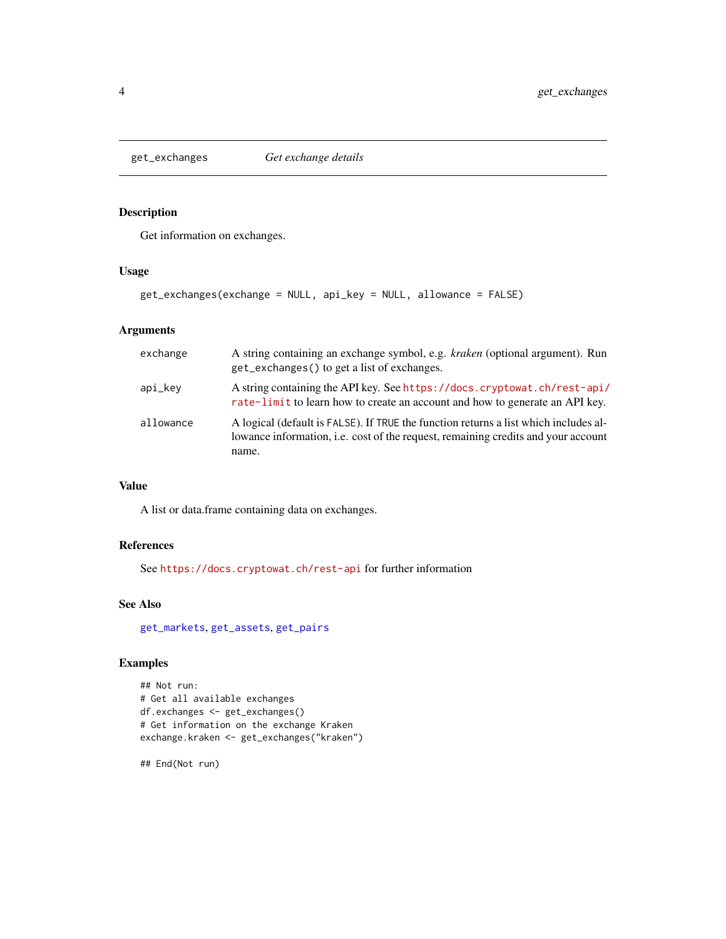<span id="page-3-1"></span><span id="page-3-0"></span>

Get information on exchanges.

# Usage

```
get_exchanges(exchange = NULL, api_key = NULL, allowance = FALSE)
```
# Arguments

| exchange  | A string containing an exchange symbol, e.g. <i>kraken</i> (optional argument). Run<br>get_exchanges() to get a list of exchanges.                                                 |
|-----------|------------------------------------------------------------------------------------------------------------------------------------------------------------------------------------|
| api_kev   | A string containing the API key. See https://docs.cryptowat.ch/rest-api/<br>rate-limit to learn how to create an account and how to generate an API key.                           |
| allowance | A logical (default is FALSE). If TRUE the function returns a list which includes al-<br>lowance information, i.e. cost of the request, remaining credits and your account<br>name. |

#### Value

A list or data.frame containing data on exchanges.

# References

See <https://docs.cryptowat.ch/rest-api> for further information

# See Also

[get\\_markets](#page-4-1), [get\\_assets](#page-1-1), [get\\_pairs](#page-10-1)

# Examples

```
## Not run:
# Get all available exchanges
df.exchanges <- get_exchanges()
# Get information on the exchange Kraken
exchange.kraken <- get_exchanges("kraken")
```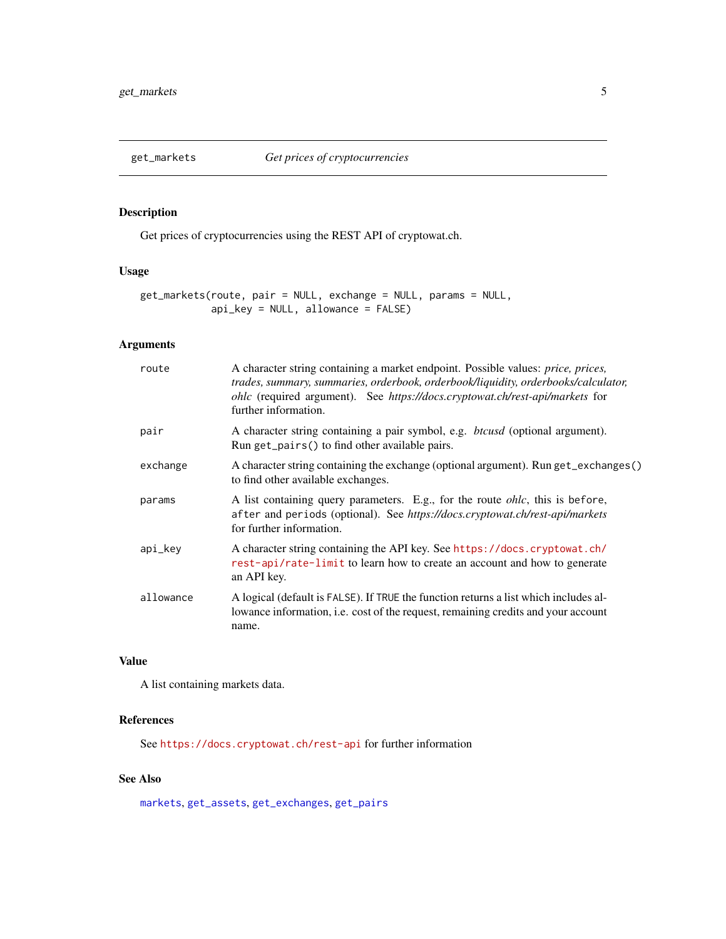<span id="page-4-1"></span><span id="page-4-0"></span>

Get prices of cryptocurrencies using the REST API of cryptowat.ch.

# Usage

```
get_markets(route, pair = NULL, exchange = NULL, params = NULL,
            api_key = NULL, allowance = FALSE)
```
# Arguments

| route     | A character string containing a market endpoint. Possible values: price, prices,<br>trades, summary, summaries, orderbook, orderbook/liquidity, orderbooks/calculator,<br>ohlc (required argument). See https://docs.cryptowat.ch/rest-api/markets for<br>further information. |
|-----------|--------------------------------------------------------------------------------------------------------------------------------------------------------------------------------------------------------------------------------------------------------------------------------|
| pair      | A character string containing a pair symbol, e.g. <i>btcusd</i> (optional argument).<br>Run get_pairs() to find other available pairs.                                                                                                                                         |
| exchange  | A character string containing the exchange (optional argument). Run get_exchanges()<br>to find other available exchanges.                                                                                                                                                      |
| params    | A list containing query parameters. E.g., for the route <i>ohlc</i> , this is before,<br>after and periods (optional). See https://docs.cryptowat.ch/rest-api/markets<br>for further information.                                                                              |
| api_key   | A character string containing the API key. See https://docs.cryptowat.ch/<br>rest-api/rate-limit to learn how to create an account and how to generate<br>an API key.                                                                                                          |
| allowance | A logical (default is FALSE). If TRUE the function returns a list which includes al-<br>lowance information, i.e. cost of the request, remaining credits and your account<br>name.                                                                                             |

# Value

A list containing markets data.

#### References

See <https://docs.cryptowat.ch/rest-api> for further information

# See Also

[markets](#page-13-1), [get\\_assets](#page-1-1), [get\\_exchanges](#page-3-1), [get\\_pairs](#page-10-1)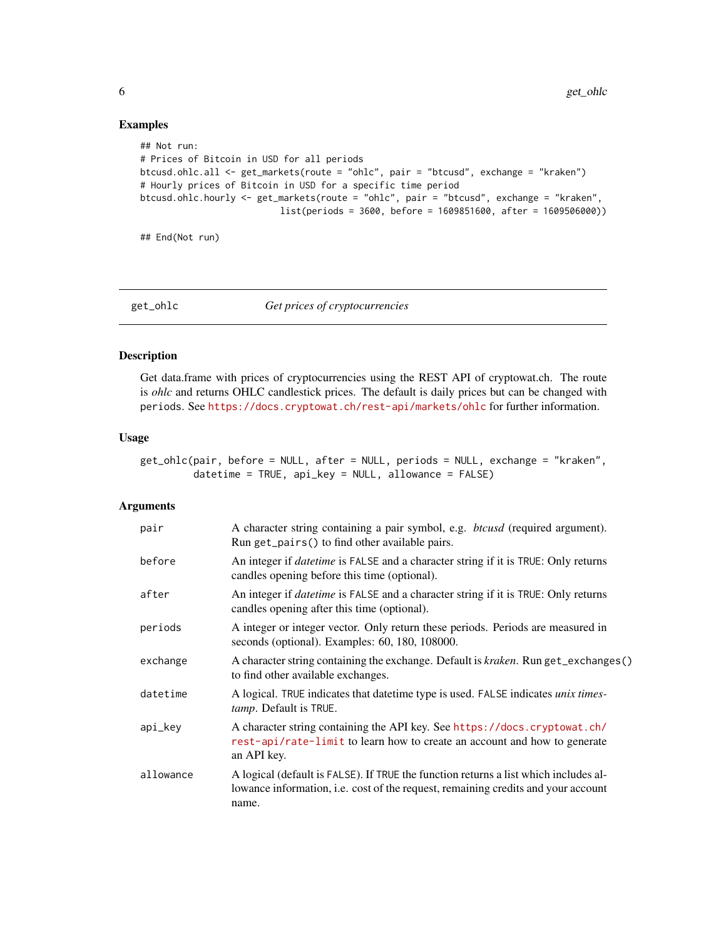# Examples

```
## Not run:
# Prices of Bitcoin in USD for all periods
btcusd.ohlc.all <- get_markets(route = "ohlc", pair = "btcusd", exchange = "kraken")
# Hourly prices of Bitcoin in USD for a specific time period
btcusd.ohlc.hourly <- get_markets(route = "ohlc", pair = "btcusd", exchange = "kraken",
                          list(periods = 3600, before = 1609851600, after = 1609506000))
```
## End(Not run)

<span id="page-5-1"></span>

get\_ohlc *Get prices of cryptocurrencies*

# Description

Get data.frame with prices of cryptocurrencies using the REST API of cryptowat.ch. The route is *ohlc* and returns OHLC candlestick prices. The default is daily prices but can be changed with periods. See <https://docs.cryptowat.ch/rest-api/markets/ohlc> for further information.

# Usage

| get_ohlc(pair, before = NULL, after = NULL, periods = NULL, exchange = "kraken", |                                                              |  |
|----------------------------------------------------------------------------------|--------------------------------------------------------------|--|
|                                                                                  | $\theta$ datetime = TRUE, api_key = NULL, allowance = FALSE) |  |

#### Arguments

| pair      | A character string containing a pair symbol, e.g. <i>btcusd</i> (required argument).<br>Run get_pairs() to find other available pairs.                                             |
|-----------|------------------------------------------------------------------------------------------------------------------------------------------------------------------------------------|
| before    | An integer if <i>datetime</i> is FALSE and a character string if it is TRUE: Only returns<br>candles opening before this time (optional).                                          |
| after     | An integer if <i>datetime</i> is FALSE and a character string if it is TRUE: Only returns<br>candles opening after this time (optional).                                           |
| periods   | A integer or integer vector. Only return these periods. Periods are measured in<br>seconds (optional). Examples: 60, 180, 108000.                                                  |
| exchange  | A character string containing the exchange. Default is <i>kraken</i> . Run get_exchanges()<br>to find other available exchanges.                                                   |
| datetime  | A logical. TRUE indicates that date time type is used. FALSE indicates <i>unix times</i> -<br>tamp. Default is TRUE.                                                               |
| api_key   | A character string containing the API key. See https://docs.cryptowat.ch/<br>rest-api/rate-limit to learn how to create an account and how to generate<br>an API key.              |
| allowance | A logical (default is FALSE). If TRUE the function returns a list which includes al-<br>lowance information, i.e. cost of the request, remaining credits and your account<br>name. |

<span id="page-5-0"></span>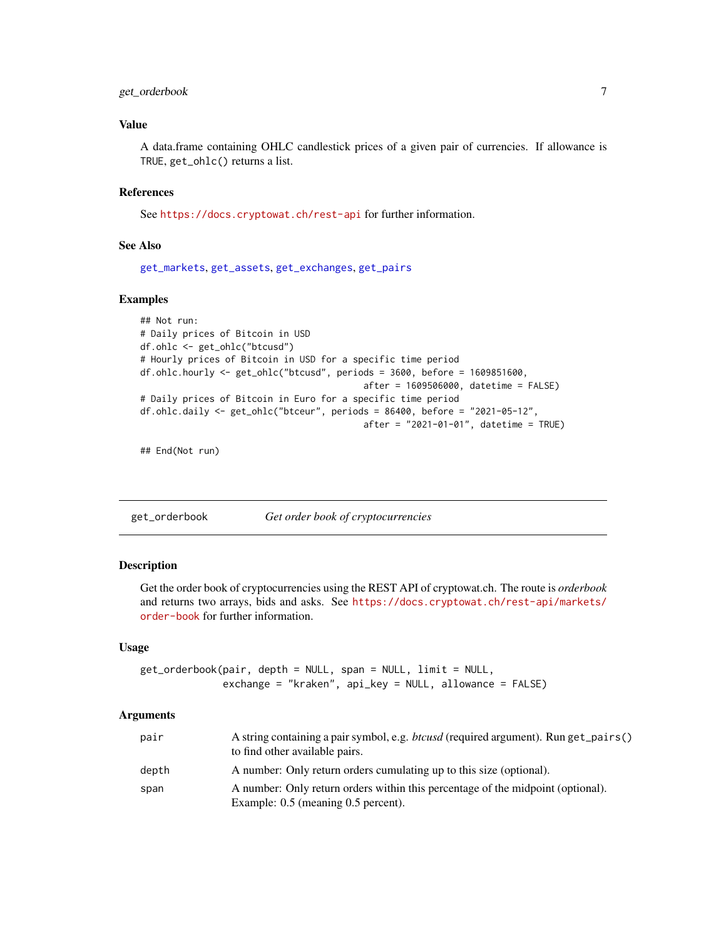# <span id="page-6-0"></span>get\_orderbook 7

# Value

A data.frame containing OHLC candlestick prices of a given pair of currencies. If allowance is TRUE, get\_ohlc() returns a list.

#### References

See <https://docs.cryptowat.ch/rest-api> for further information.

# See Also

[get\\_markets](#page-4-1), [get\\_assets](#page-1-1), [get\\_exchanges](#page-3-1), [get\\_pairs](#page-10-1)

#### Examples

```
## Not run:
# Daily prices of Bitcoin in USD
df.ohlc <- get_ohlc("btcusd")
# Hourly prices of Bitcoin in USD for a specific time period
df.ohlc.hourly <- get_ohlc("btcusd", periods = 3600, before = 1609851600,
                                          after = 1609506000, datetime = FALSE)
# Daily prices of Bitcoin in Euro for a specific time period
df.ohlc.daily <- get_ohlc("btceur", periods = 86400, before = "2021-05-12",
                                          after = "2021-01-01", datetime = TRUE)
```
## End(Not run)

<span id="page-6-1"></span>get\_orderbook *Get order book of cryptocurrencies*

#### Description

Get the order book of cryptocurrencies using the REST API of cryptowat.ch. The route is *orderbook* and returns two arrays, bids and asks. See [https://docs.cryptowat.ch/rest-api/markets/](https://docs.cryptowat.ch/rest-api/markets/order-book) [order-book](https://docs.cryptowat.ch/rest-api/markets/order-book) for further information.

#### Usage

```
get_orderbook(pair, depth = NULL, span = NULL, limit = NULL,
              exchange = "kraken", api_key = NULL, allowance = FALSE)
```
#### **Arguments**

| pair  | A string containing a pair symbol, e.g. <i>btcusd</i> (required argument). Run get_pairs()<br>to find other available pairs. |
|-------|------------------------------------------------------------------------------------------------------------------------------|
| depth | A number: Only return orders cumulating up to this size (optional).                                                          |
| span  | A number: Only return orders within this percentage of the midpoint (optional).<br>Example: 0.5 (meaning 0.5 percent).       |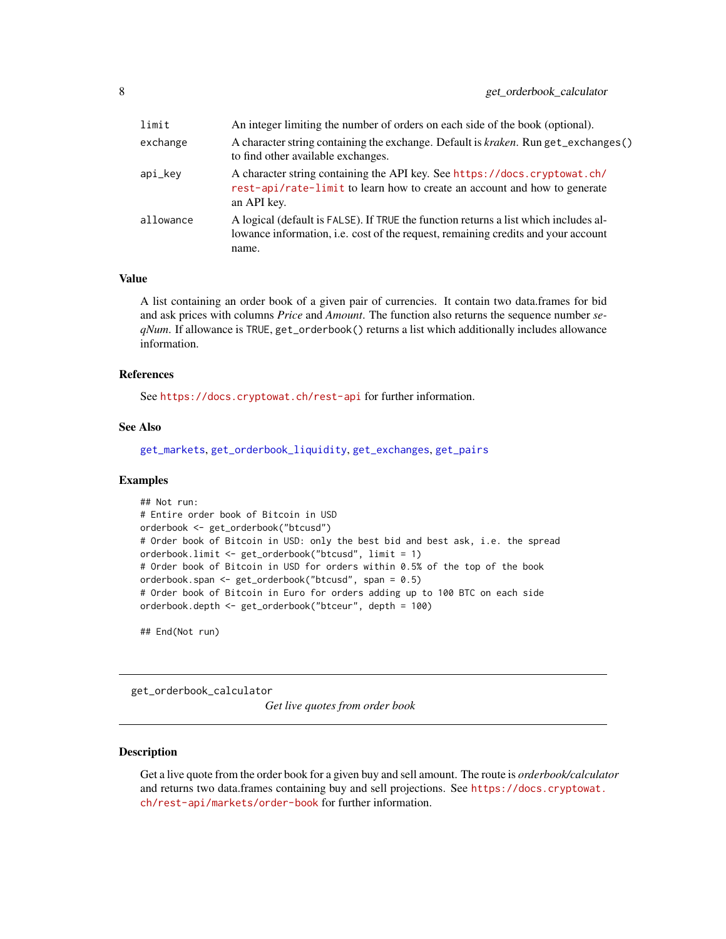<span id="page-7-0"></span>

| limit     | An integer limiting the number of orders on each side of the book (optional).                                                                                                      |
|-----------|------------------------------------------------------------------------------------------------------------------------------------------------------------------------------------|
| exchange  | A character string containing the exchange. Default is <i>kraken</i> . Run get_exchanges()<br>to find other available exchanges.                                                   |
| api_key   | A character string containing the API key. See https://docs.cryptowat.ch/<br>rest-api/rate-limit to learn how to create an account and how to generate<br>an API key.              |
| allowance | A logical (default is FALSE). If TRUE the function returns a list which includes al-<br>lowance information, i.e. cost of the request, remaining credits and your account<br>name. |

#### Value

A list containing an order book of a given pair of currencies. It contain two data.frames for bid and ask prices with columns *Price* and *Amount*. The function also returns the sequence number *seqNum*. If allowance is TRUE, get\_orderbook() returns a list which additionally includes allowance information.

# References

See <https://docs.cryptowat.ch/rest-api> for further information.

#### See Also

[get\\_markets](#page-4-1), [get\\_orderbook\\_liquidity](#page-9-1), [get\\_exchanges](#page-3-1), [get\\_pairs](#page-10-1)

#### Examples

```
## Not run:
# Entire order book of Bitcoin in USD
orderbook <- get_orderbook("btcusd")
# Order book of Bitcoin in USD: only the best bid and best ask, i.e. the spread
orderbook.limit <- get_orderbook("btcusd", limit = 1)
# Order book of Bitcoin in USD for orders within 0.5% of the top of the book
orderbook.span <- get_orderbook("btcusd", span = 0.5)
# Order book of Bitcoin in Euro for orders adding up to 100 BTC on each side
orderbook.depth <- get_orderbook("btceur", depth = 100)
```
## End(Not run)

get\_orderbook\_calculator

*Get live quotes from order book*

# Description

Get a live quote from the order book for a given buy and sell amount. The route is *orderbook/calculator* and returns two data.frames containing buy and sell projections. See [https://docs.cryptowat.](https://docs.cryptowat.ch/rest-api/markets/order-book) [ch/rest-api/markets/order-book](https://docs.cryptowat.ch/rest-api/markets/order-book) for further information.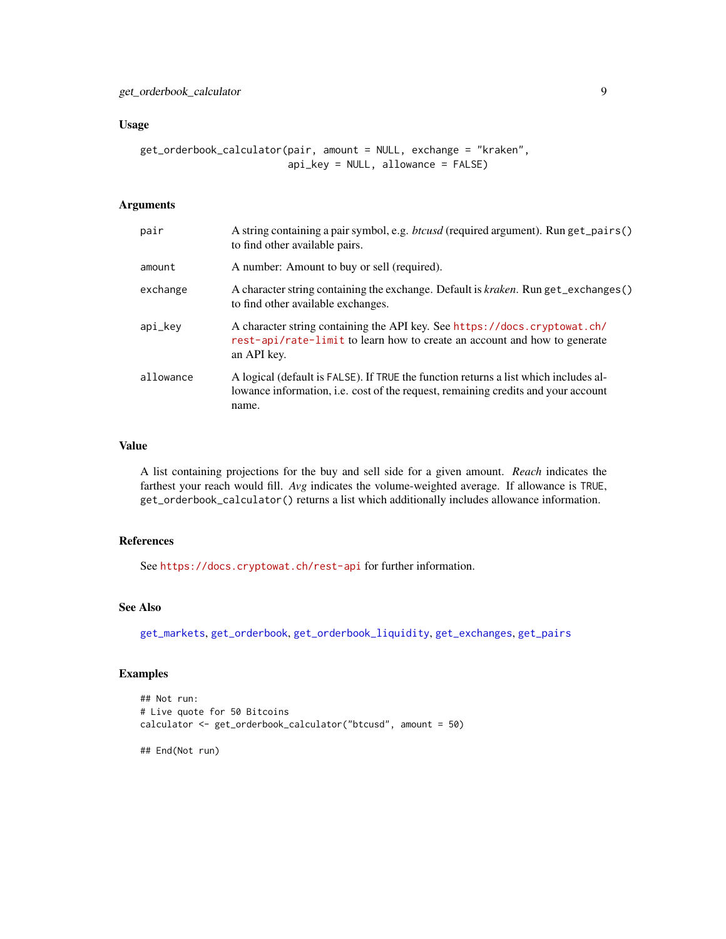# <span id="page-8-0"></span>Usage

```
get_orderbook_calculator(pair, amount = NULL, exchange = "kraken",
                         api_key = NULL, allowance = FALSE)
```
# Arguments

| pair      | A string containing a pair symbol, e.g. btcusd (required argument). Run get_pairs()<br>to find other available pairs.                                                              |
|-----------|------------------------------------------------------------------------------------------------------------------------------------------------------------------------------------|
| amount    | A number: Amount to buy or sell (required).                                                                                                                                        |
| exchange  | A character string containing the exchange. Default is kraken. Run get_exchanges()<br>to find other available exchanges.                                                           |
| api_key   | A character string containing the API key. See https://docs.cryptowat.ch/<br>rest-api/rate-limit to learn how to create an account and how to generate<br>an API key.              |
| allowance | A logical (default is FALSE). If TRUE the function returns a list which includes al-<br>lowance information, i.e. cost of the request, remaining credits and your account<br>name. |

# Value

A list containing projections for the buy and sell side for a given amount. *Reach* indicates the farthest your reach would fill. *Avg* indicates the volume-weighted average. If allowance is TRUE, get\_orderbook\_calculator() returns a list which additionally includes allowance information.

#### References

See <https://docs.cryptowat.ch/rest-api> for further information.

#### See Also

[get\\_markets](#page-4-1), [get\\_orderbook](#page-6-1), [get\\_orderbook\\_liquidity](#page-9-1), [get\\_exchanges](#page-3-1), [get\\_pairs](#page-10-1)

#### Examples

```
## Not run:
# Live quote for 50 Bitcoins
calculator <- get_orderbook_calculator("btcusd", amount = 50)
```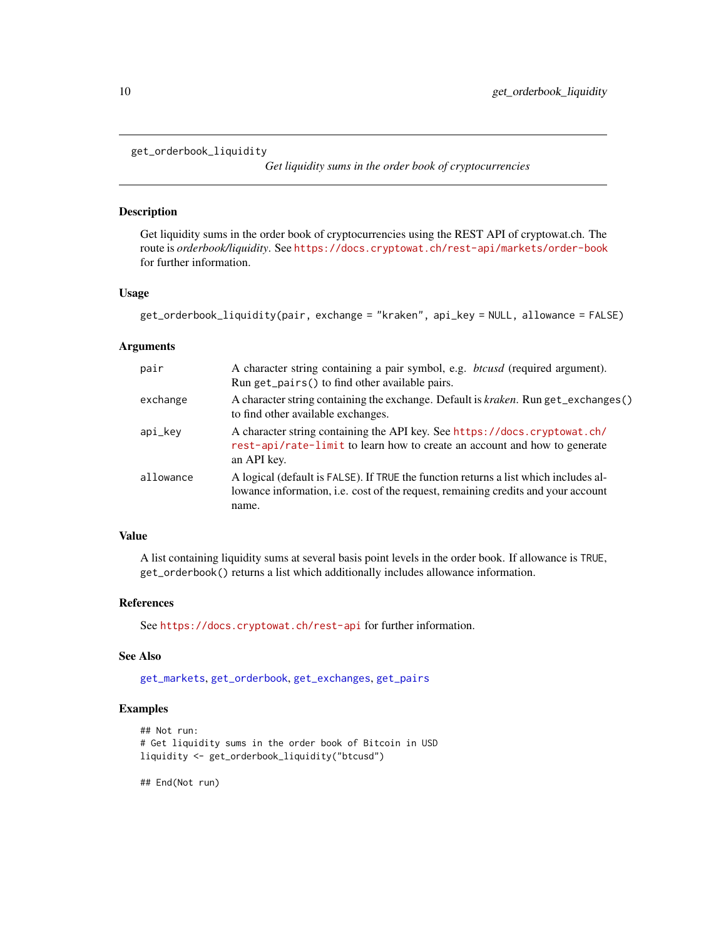# <span id="page-9-1"></span><span id="page-9-0"></span>get\_orderbook\_liquidity

*Get liquidity sums in the order book of cryptocurrencies*

#### Description

Get liquidity sums in the order book of cryptocurrencies using the REST API of cryptowat.ch. The route is *orderbook/liquidity*. See <https://docs.cryptowat.ch/rest-api/markets/order-book> for further information.

# Usage

```
get_orderbook_liquidity(pair, exchange = "kraken", api_key = NULL, allowance = FALSE)
```
#### Arguments

| pair      | A character string containing a pair symbol, e.g. <i>btcusd</i> (required argument).<br>Run get_pairs() to find other available pairs.                                             |
|-----------|------------------------------------------------------------------------------------------------------------------------------------------------------------------------------------|
| exchange  | A character string containing the exchange. Default is <i>kraken</i> . Run get_exchanges()<br>to find other available exchanges.                                                   |
| api_key   | A character string containing the API key. See https://docs.cryptowat.ch/<br>rest-api/rate-limit to learn how to create an account and how to generate<br>an API key.              |
| allowance | A logical (default is FALSE). If TRUE the function returns a list which includes al-<br>lowance information, i.e. cost of the request, remaining credits and your account<br>name. |

# Value

A list containing liquidity sums at several basis point levels in the order book. If allowance is TRUE, get\_orderbook() returns a list which additionally includes allowance information.

#### References

See <https://docs.cryptowat.ch/rest-api> for further information.

# See Also

[get\\_markets](#page-4-1), [get\\_orderbook](#page-6-1), [get\\_exchanges](#page-3-1), [get\\_pairs](#page-10-1)

# Examples

```
## Not run:
# Get liquidity sums in the order book of Bitcoin in USD
liquidity <- get_orderbook_liquidity("btcusd")
```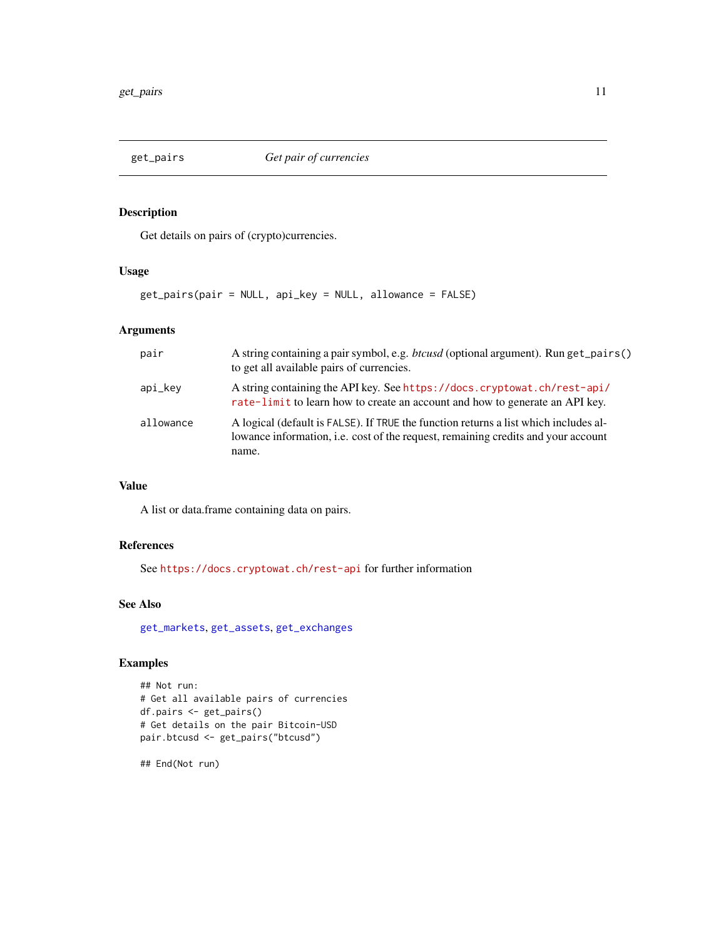<span id="page-10-1"></span><span id="page-10-0"></span>

Get details on pairs of (crypto)currencies.

# Usage

get\_pairs(pair = NULL, api\_key = NULL, allowance = FALSE)

# Arguments

| pair      | A string containing a pair symbol, e.g. <i>btcusd</i> (optional argument). Run get_pairs()<br>to get all available pairs of currencies.                                            |
|-----------|------------------------------------------------------------------------------------------------------------------------------------------------------------------------------------|
| api_kev   | A string containing the API key. See https://docs.cryptowat.ch/rest-api/<br>rate-limit to learn how to create an account and how to generate an API key.                           |
| allowance | A logical (default is FALSE). If TRUE the function returns a list which includes al-<br>lowance information, i.e. cost of the request, remaining credits and your account<br>name. |

# Value

A list or data.frame containing data on pairs.

# References

See <https://docs.cryptowat.ch/rest-api> for further information

#### See Also

[get\\_markets](#page-4-1), [get\\_assets](#page-1-1), [get\\_exchanges](#page-3-1)

# Examples

```
## Not run:
# Get all available pairs of currencies
df.pairs <- get_pairs()
# Get details on the pair Bitcoin-USD
pair.btcusd <- get_pairs("btcusd")
```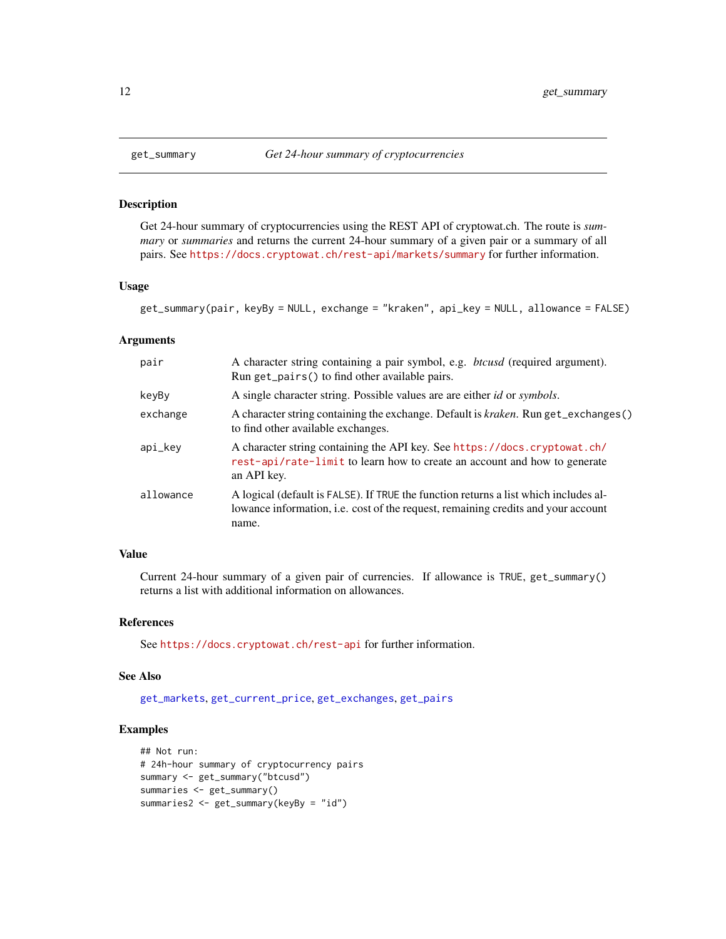Get 24-hour summary of cryptocurrencies using the REST API of cryptowat.ch. The route is *summary* or *summaries* and returns the current 24-hour summary of a given pair or a summary of all pairs. See <https://docs.cryptowat.ch/rest-api/markets/summary> for further information.

#### Usage

```
get_summary(pair, keyBy = NULL, exchange = "kraken", api_key = NULL, allowance = FALSE)
```
#### **Arguments**

| pair      | A character string containing a pair symbol, e.g. <i>btcusd</i> (required argument).<br>Run get_pairs() to find other available pairs.                                             |
|-----------|------------------------------------------------------------------------------------------------------------------------------------------------------------------------------------|
| keyBy     | A single character string. Possible values are are either <i>id</i> or <i>symbols</i> .                                                                                            |
| exchange  | A character string containing the exchange. Default is <i>kraken</i> . Run get_exchanges()<br>to find other available exchanges.                                                   |
| api_key   | A character string containing the API key. See https://docs.cryptowat.ch/<br>rest-api/rate-limit to learn how to create an account and how to generate<br>an API key.              |
| allowance | A logical (default is FALSE). If TRUE the function returns a list which includes al-<br>lowance information, i.e. cost of the request, remaining credits and your account<br>name. |

# Value

Current 24-hour summary of a given pair of currencies. If allowance is TRUE, get\_summary() returns a list with additional information on allowances.

#### References

See <https://docs.cryptowat.ch/rest-api> for further information.

#### See Also

[get\\_markets](#page-4-1), [get\\_current\\_price](#page-2-1), [get\\_exchanges](#page-3-1), [get\\_pairs](#page-10-1)

# Examples

```
## Not run:
# 24h-hour summary of cryptocurrency pairs
summary <- get_summary("btcusd")
summaries <- get_summary()
summaries2 <- get_summary(keyBy = "id")
```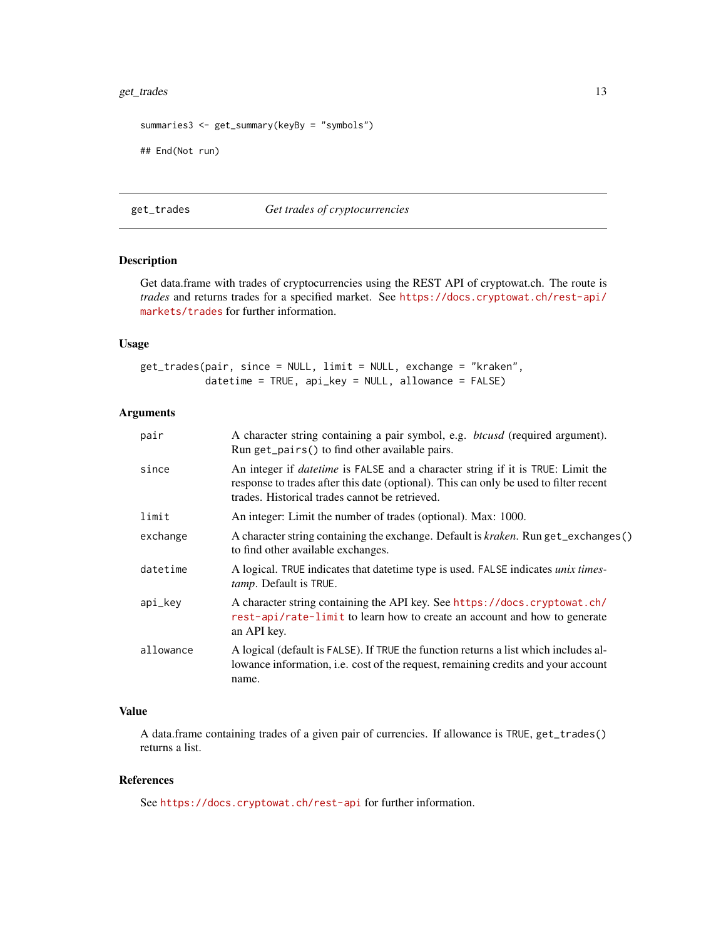# <span id="page-12-0"></span>get\_trades 13

```
summaries3 <- get_summary(keyBy = "symbols")
## End(Not run)
```
get\_trades *Get trades of cryptocurrencies*

# Description

Get data.frame with trades of cryptocurrencies using the REST API of cryptowat.ch. The route is *trades* and returns trades for a specified market. See [https://docs.cryptowat.ch/rest-api/](https://docs.cryptowat.ch/rest-api/markets/trades) [markets/trades](https://docs.cryptowat.ch/rest-api/markets/trades) for further information.

#### Usage

get\_trades(pair, since = NULL, limit = NULL, exchange = "kraken", datetime = TRUE, api\_key = NULL, allowance = FALSE)

# Arguments

| pair      | A character string containing a pair symbol, e.g. <i>btcusd</i> (required argument).<br>Run get_pairs() to find other available pairs.                                                                                            |
|-----------|-----------------------------------------------------------------------------------------------------------------------------------------------------------------------------------------------------------------------------------|
| since     | An integer if <i>datetime</i> is FALSE and a character string if it is TRUE: Limit the<br>response to trades after this date (optional). This can only be used to filter recent<br>trades. Historical trades cannot be retrieved. |
| limit     | An integer: Limit the number of trades (optional). Max: 1000.                                                                                                                                                                     |
| exchange  | A character string containing the exchange. Default is <i>kraken</i> . Run get_exchanges()<br>to find other available exchanges.                                                                                                  |
| datetime  | A logical. TRUE indicates that datetime type is used. FALSE indicates unix times-<br>tamp. Default is TRUE.                                                                                                                       |
| api_key   | A character string containing the API key. See https://docs.cryptowat.ch/<br>rest-api/rate-limit to learn how to create an account and how to generate<br>an API key.                                                             |
| allowance | A logical (default is FALSE). If TRUE the function returns a list which includes al-<br>lowance information, i.e. cost of the request, remaining credits and your account<br>name.                                                |

# Value

A data.frame containing trades of a given pair of currencies. If allowance is TRUE, get\_trades() returns a list.

# References

See <https://docs.cryptowat.ch/rest-api> for further information.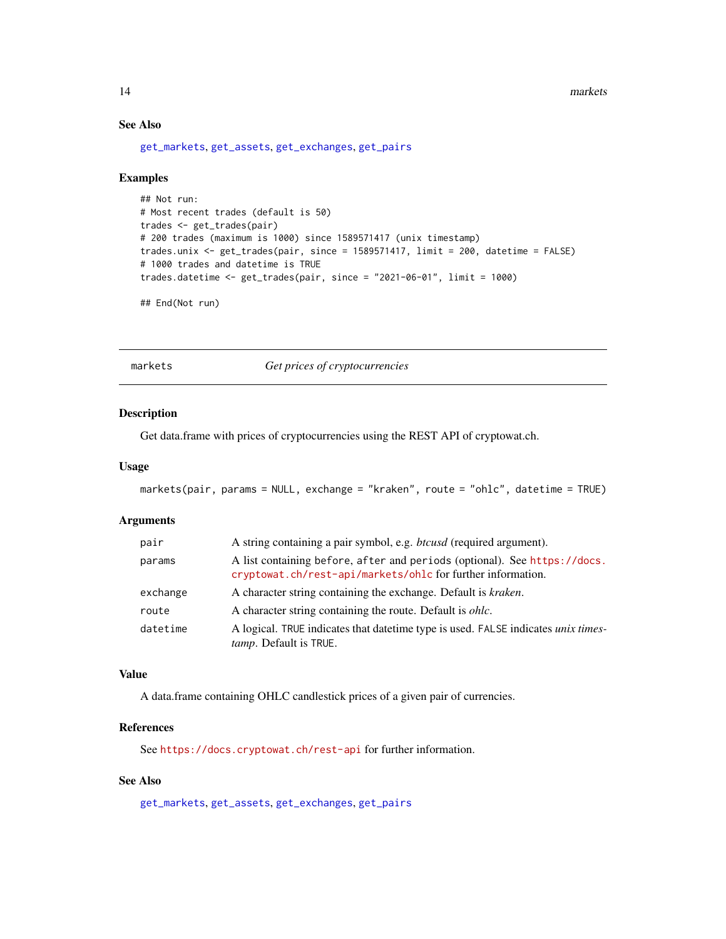# See Also

[get\\_markets](#page-4-1), [get\\_assets](#page-1-1), [get\\_exchanges](#page-3-1), [get\\_pairs](#page-10-1)

#### Examples

```
## Not run:
# Most recent trades (default is 50)
trades <- get_trades(pair)
# 200 trades (maximum is 1000) since 1589571417 (unix timestamp)
trades.unix <- get_trades(pair, since = 1589571417, limit = 200, datetime = FALSE)
# 1000 trades and datetime is TRUE
trades.datetime <- get_trades(pair, since = "2021-06-01", limit = 1000)
## End(Not run)
```
<span id="page-13-1"></span>markets *Get prices of cryptocurrencies*

# Description

Get data.frame with prices of cryptocurrencies using the REST API of cryptowat.ch.

#### Usage

```
markets(pair, params = NULL, exchange = "kraken", route = "ohlc", datetime = TRUE)
```
#### Arguments

| pair     | A string containing a pair symbol, e.g. <i>btcusd</i> (required argument).                                                               |
|----------|------------------------------------------------------------------------------------------------------------------------------------------|
| params   | A list containing before, after and periods (optional). See https://docs.<br>cryptowat.ch/rest-api/markets/ohlc for further information. |
| exchange | A character string containing the exchange. Default is <i>kraken</i> .                                                                   |
| route    | A character string containing the route. Default is <i>ohlc</i> .                                                                        |
| datetime | A logical. TRUE indicates that date time type is used. FALSE indicates <i>unix times</i> -<br><i>tamp</i> . Default is TRUE.             |

# Value

A data.frame containing OHLC candlestick prices of a given pair of currencies.

# References

See <https://docs.cryptowat.ch/rest-api> for further information.

# See Also

[get\\_markets](#page-4-1), [get\\_assets](#page-1-1), [get\\_exchanges](#page-3-1), [get\\_pairs](#page-10-1)

<span id="page-13-0"></span>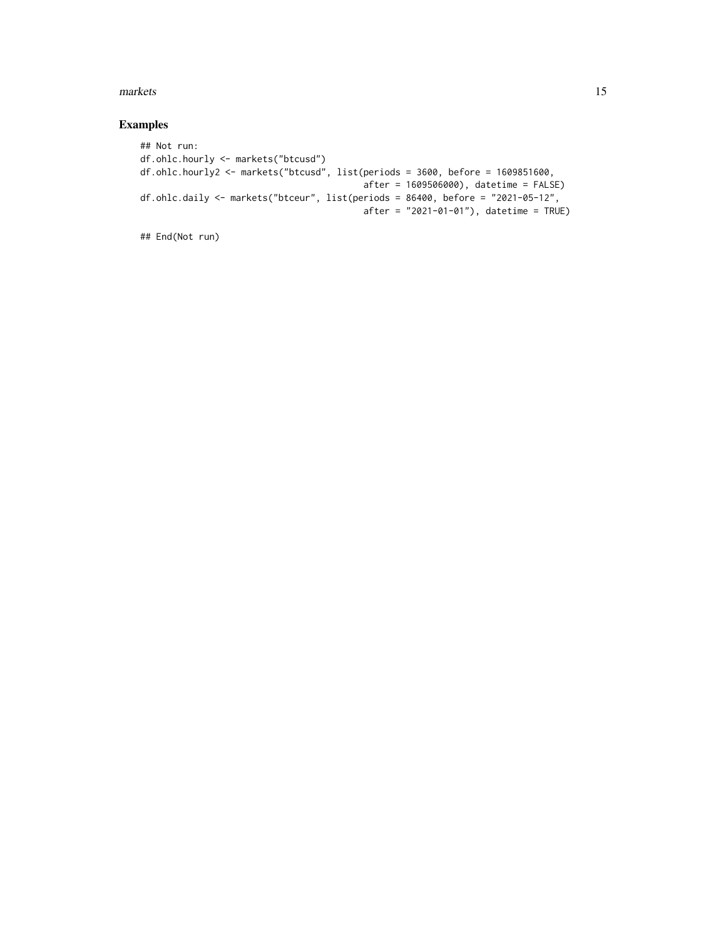#### markets and the contract of the contract of the contract of the contract of the contract of the contract of the contract of the contract of the contract of the contract of the contract of the contract of the contract of th

# Examples

```
## Not run:
df.ohlc.hourly <- markets("btcusd")
df.ohlc.hourly2 <- markets("btcusd", list(periods = 3600, before = 1609851600,
                                         after = 1609506000), datetime = FALSE)
df.ohlc.daily <- markets("btceur", list(periods = 86400, before = "2021-05-12",
                                          after = "2021-01-01"), datetime = TRUE)
```

```
## End(Not run)
```